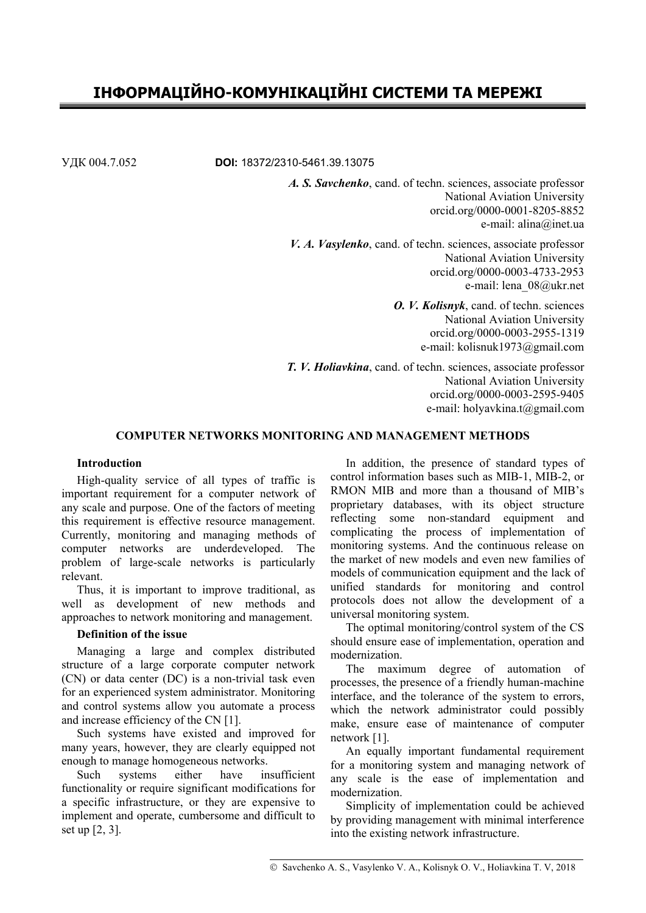# **ІНФОРМАЦІЙНО-КОМУНІКАЦІЙНІ СИСТЕМИ ТА МЕРЕЖІ**

УДК 004.7.052 **DOI:** 18372/2310-5461.39.13075

*A. S. Savchenko*, cand. of techn. sciences, associate professor National Aviation University orcid.org/0000-0001-8205-8852 e-mail: alina@inet.ua

*V. A. Vasylenko*, cand. of techn. sciences, associate professor National Aviation University orcid.org/0000-0003-4733-2953 e-mail: lena\_08@ukr.net

> *O. V. Kolisnyk*, cand. of techn. sciences National Aviation University orcid.org/0000-0003-2955-1319 e-mail: kolisnuk1973@gmail.com

*T. V. Holiavkina*, cand. of techn. sciences, associate professor National Aviation University orcid.org/0000-0003-2595-9405 e-mail: holyavkina.t@gmail.com

# **COMPUTER NETWORKS MONITORING AND MANAGEMENT METHODS**

#### **Introduction**

High-quality service of all types of traffic is important requirement for a computer network of any scale and purpose. One of the factors of meeting this requirement is effective resource management. Currently, monitoring and managing methods of computer networks are underdeveloped. The problem of large-scale networks is particularly relevant.

Thus, it is important to improve traditional, as well as development of new methods and approaches to network monitoring and management.

#### **Definition of the issue**

Managing a large and complex distributed structure of a large corporate computer network (CN) or data center (DC) is a non-trivial task even for an experienced system administrator. Monitoring and control systems allow you automate a process and increase efficiency of the CN [1].

Such systems have existed and improved for many years, however, they are clearly equipped not enough to manage homogeneous networks.

Such systems either have insufficient functionality or require significant modifications for a specific infrastructure, or they are expensive to implement and operate, cumbersome and difficult to set up [2, 3].

In addition, the presence of standard types of control information bases such as MIB-1, MIB-2, or RMON MIB and more than a thousand of MIB's proprietary databases, with its object structure reflecting some non-standard equipment and complicating the process of implementation of monitoring systems. And the continuous release on the market of new models and even new families of models of communication equipment and the lack of unified standards for monitoring and control protocols does not allow the development of a universal monitoring system.

The optimal monitoring/control system of the CS should ensure ease of implementation, operation and modernization.

The maximum degree of automation of processes, the presence of a friendly human-machine interface, and the tolerance of the system to errors, which the network administrator could possibly make, ensure ease of maintenance of computer network [1].

An equally important fundamental requirement for a monitoring system and managing network of any scale is the ease of implementation and modernization.

Simplicity of implementation could be achieved by providing management with minimal interference into the existing network infrastructure.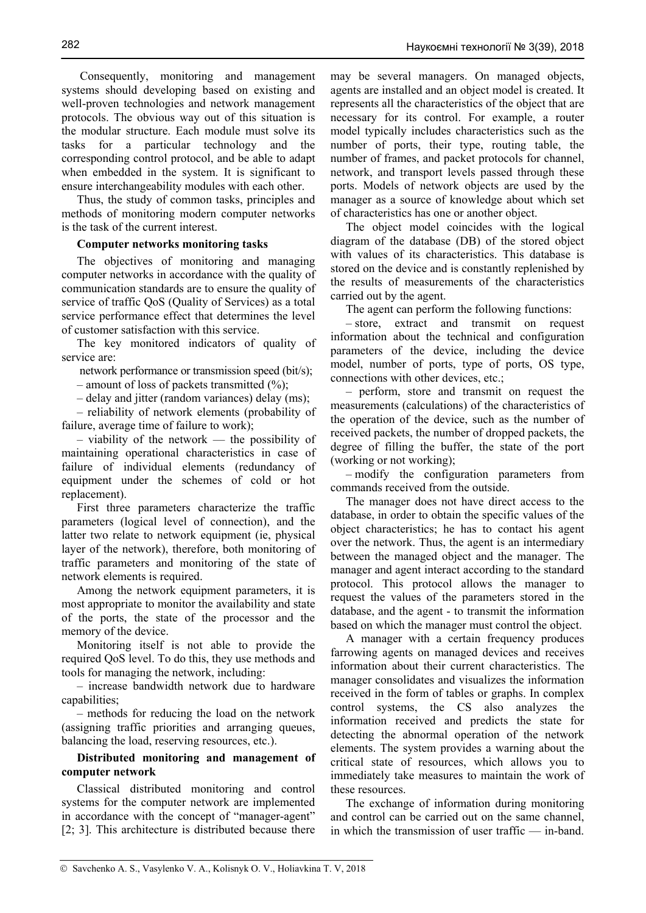Consequently, monitoring and management systems should developing based on existing and well-proven technologies and network management protocols. The obvious way out of this situation is the modular structure. Each module must solve its tasks for a particular technology and the corresponding control protocol, and be able to adapt when embedded in the system. It is significant to ensure interchangeability modules with each other.

Thus, the study of common tasks, principles and methods of monitoring modern computer networks is the task of the current interest.

# **Computer networks monitoring tasks**

The objectives of monitoring and managing computer networks in accordance with the quality of communication standards are to ensure the quality of service of traffic QoS (Quality of Services) as a total service performance effect that determines the level of customer satisfaction with this service.

The key monitored indicators of quality of service are:

network performance or transmission speed (bit/s);

– amount of loss of packets transmitted  $(\%);$ 

– delay and jitter (random variances) delay (ms);

– reliability of network elements (probability of failure, average time of failure to work);

– viability of the network — the possibility of maintaining operational characteristics in case of failure of individual elements (redundancy of equipment under the schemes of cold or hot replacement).

First three parameters characterize the traffic parameters (logical level of connection), and the latter two relate to network equipment (ie, physical layer of the network), therefore, both monitoring of traffic parameters and monitoring of the state of network elements is required.

Among the network equipment parameters, it is most appropriate to monitor the availability and state of the ports, the state of the processor and the memory of the device.

Monitoring itself is not able to provide the required QoS level. To do this, they use methods and tools for managing the network, including:

– increase bandwidth network due to hardware capabilities;

– methods for reducing the load on the network (assigning traffic priorities and arranging queues, balancing the load, reserving resources, etc.).

# **Distributed monitoring and management of computer network**

Classical distributed monitoring and control systems for the computer network are implemented in accordance with the concept of "manager-agent" [2; 3]. This architecture is distributed because there

may be several managers. On managed objects, agents are installed and an object model is created. It represents all the characteristics of the object that are necessary for its control. For example, a router model typically includes characteristics such as the number of ports, their type, routing table, the number of frames, and packet protocols for channel, network, and transport levels passed through these ports. Models of network objects are used by the manager as a source of knowledge about which set of characteristics has one or another object.

The object model coincides with the logical diagram of the database (DB) of the stored object with values of its characteristics. This database is stored on the device and is constantly replenished by the results of measurements of the characteristics carried out by the agent.

The agent can perform the following functions:

– store, extract and transmit on request information about the technical and configuration parameters of the device, including the device model, number of ports, type of ports, OS type, connections with other devices, etc.;

– perform, store and transmit on request the measurements (calculations) of the characteristics of the operation of the device, such as the number of received packets, the number of dropped packets, the degree of filling the buffer, the state of the port (working or not working);

– modify the configuration parameters from commands received from the outside.

The manager does not have direct access to the database, in order to obtain the specific values of the object characteristics; he has to contact his agent over the network. Thus, the agent is an intermediary between the managed object and the manager. The manager and agent interact according to the standard protocol. This protocol allows the manager to request the values of the parameters stored in the database, and the agent - to transmit the information based on which the manager must control the object.

A manager with a certain frequency produces farrowing agents on managed devices and receives information about their current characteristics. The manager consolidates and visualizes the information received in the form of tables or graphs. In complex control systems, the CS also analyzes the information received and predicts the state for detecting the abnormal operation of the network elements. The system provides a warning about the critical state of resources, which allows you to immediately take measures to maintain the work of these resources.

The exchange of information during monitoring and control can be carried out on the same channel, in which the transmission of user traffic — in-band.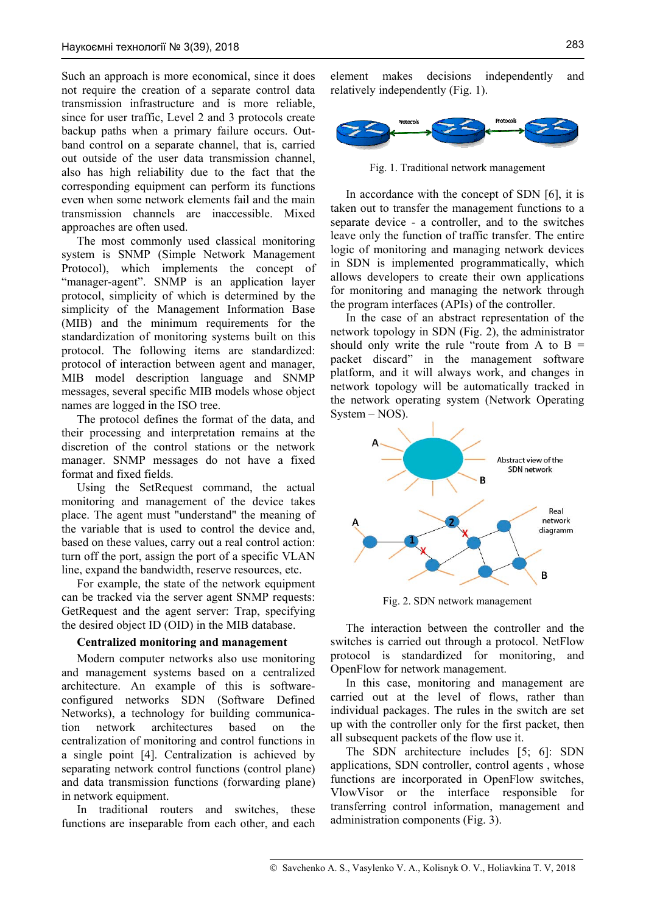Such an approach is more economical, since it does not require the creation of a separate control data transmission infrastructure and is more reliable, since for user traffic, Level 2 and 3 protocols create backup paths when a primary failure occurs. Outband control on a separate channel, that is, carried out outside of the user data transmission channel, also has high reliability due to the fact that the corresponding equipment can perform its functions even when some network elements fail and the main transmission channels are inaccessible. Mixed approaches are often used.

The most commonly used classical monitoring system is SNMP (Simple Network Management Protocol), which implements the concept of "manager-agent". SNMP is an application layer protocol, simplicity of which is determined by the simplicity of the Management Information Base (MIB) and the minimum requirements for the standardization of monitoring systems built on this protocol. The following items are standardized: protocol of interaction between agent and manager, MIB model description language and SNMP messages, several specific MIB models whose object names are logged in the ISO tree.

The protocol defines the format of the data, and their processing and interpretation remains at the discretion of the control stations or the network manager. SNMP messages do not have a fixed format and fixed fields.

Using the SetRequest command, the actual monitoring and management of the device takes place. The agent must "understand" the meaning of the variable that is used to control the device and, based on these values, carry out a real control action: turn off the port, assign the port of a specific VLAN line, expand the bandwidth, reserve resources, etc.

For example, the state of the network equipment can be tracked via the server agent SNMP requests: GetRequest and the agent server: Trap, specifying the desired object ID (OID) in the MIB database.

#### **Centralized monitoring and management**

Modern computer networks also use monitoring and management systems based on a centralized architecture. An example of this is softwareconfigured networks SDN (Software Defined Networks), a technology for building communication network architectures based on the centralization of monitoring and control functions in a single point [4]. Centralization is achieved by separating network control functions (control plane) and data transmission functions (forwarding plane) in network equipment.

In traditional routers and switches, these functions are inseparable from each other, and each

element makes decisions independently and relatively independently (Fig. 1).



Fig. 1. Traditional network management

In accordance with the concept of SDN [6], it is taken out to transfer the management functions to a separate device - a controller, and to the switches leave only the function of traffic transfer. The entire logic of monitoring and managing network devices in SDN is implemented programmatically, which allows developers to create their own applications for monitoring and managing the network through the program interfaces (APIs) of the controller.

In the case of an abstract representation of the network topology in SDN (Fig. 2), the administrator should only write the rule "route from A to  $B =$ packet discard" in the management software platform, and it will always work, and changes in network topology will be automatically tracked in the network operating system (Network Operating System – NOS).



Fig. 2. SDN network management

The interaction between the controller and the switches is carried out through a protocol. NetFlow protocol is standardized for monitoring, and OpenFlow for network management.

In this case, monitoring and management are carried out at the level of flows, rather than individual packages. The rules in the switch are set up with the controller only for the first packet, then all subsequent packets of the flow use it.

The SDN architecture includes [5; 6]: SDN applications, SDN controller, control agents , whose functions are incorporated in OpenFlow switches, VlowVisor or the interface responsible for transferring control information, management and administration components (Fig. 3).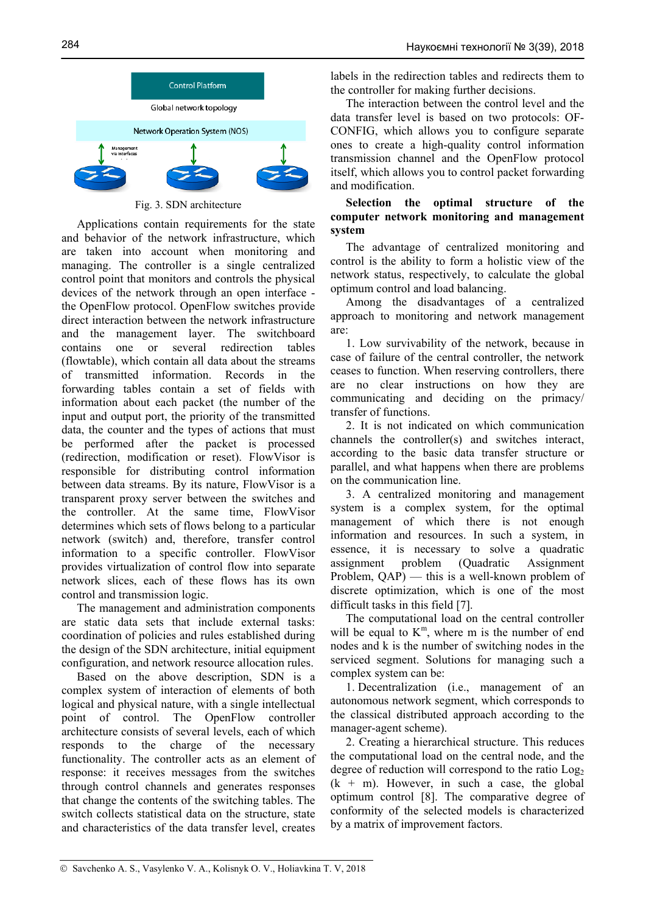

Fig. 3. SDN architecture

Applications contain requirements for the state and behavior of the network infrastructure, which are taken into account when monitoring and managing. The controller is a single centralized control point that monitors and controls the physical devices of the network through an open interface the OpenFlow protocol. OpenFlow switches provide direct interaction between the network infrastructure and the management layer. The switchboard contains one or several redirection tables (flowtable), which contain all data about the streams of transmitted information. Records in the forwarding tables contain a set of fields with information about each packet (the number of the input and output port, the priority of the transmitted data, the counter and the types of actions that must be performed after the packet is processed (redirection, modification or reset). FlowVisor is responsible for distributing control information between data streams. By its nature, FlowVisor is a transparent proxy server between the switches and the controller. At the same time, FlowVisor determines which sets of flows belong to a particular network (switch) and, therefore, transfer control information to a specific controller. FlowVisor provides virtualization of control flow into separate network slices, each of these flows has its own control and transmission logic.

The management and administration components are static data sets that include external tasks: coordination of policies and rules established during the design of the SDN architecture, initial equipment configuration, and network resource allocation rules.

Based on the above description, SDN is a complex system of interaction of elements of both logical and physical nature, with a single intellectual point of control. The OpenFlow controller architecture consists of several levels, each of which responds to the charge of the necessary functionality. The controller acts as an element of response: it receives messages from the switches through control channels and generates responses that change the contents of the switching tables. The switch collects statistical data on the structure, state and characteristics of the data transfer level, creates

labels in the redirection tables and redirects them to the controller for making further decisions.

The interaction between the control level and the data transfer level is based on two protocols: OF-CONFIG, which allows you to configure separate ones to create a high-quality control information transmission channel and the OpenFlow protocol itself, which allows you to control packet forwarding and modification.

# **Selection the optimal structure of the computer network monitoring and management system**

The advantage of centralized monitoring and control is the ability to form a holistic view of the network status, respectively, to calculate the global optimum control and load balancing.

Among the disadvantages of a centralized approach to monitoring and network management are:

1. Low survivability of the network, because in case of failure of the central controller, the network ceases to function. When reserving controllers, there are no clear instructions on how they are communicating and deciding on the primacy/ transfer of functions.

2. It is not indicated on which communication channels the controller(s) and switches interact, according to the basic data transfer structure or parallel, and what happens when there are problems on the communication line.

3. A centralized monitoring and management system is a complex system, for the optimal management of which there is not enough information and resources. In such a system, in essence, it is necessary to solve a quadratic assignment problem (Quadratic Assignment Problem, QAP) — this is a well-known problem of discrete optimization, which is one of the most difficult tasks in this field [7].

The computational load on the central controller will be equal to  $K<sup>m</sup>$ , where m is the number of end nodes and k is the number of switching nodes in the serviced segment. Solutions for managing such a complex system can be:

1. Decentralization (i.e., management of an autonomous network segment, which corresponds to the classical distributed approach according to the manager-agent scheme).

2. Creating a hierarchical structure. This reduces the computational load on the central node, and the degree of reduction will correspond to the ratio  $Log<sub>2</sub>$  $(k + m)$ . However, in such a case, the global optimum control [8]. The comparative degree of conformity of the selected models is characterized by a matrix of improvement factors.

<sup>©</sup> Savchenko A. S., Vasylenko V. A., Kolisnyk O. V., Holiavkina T. V, 2018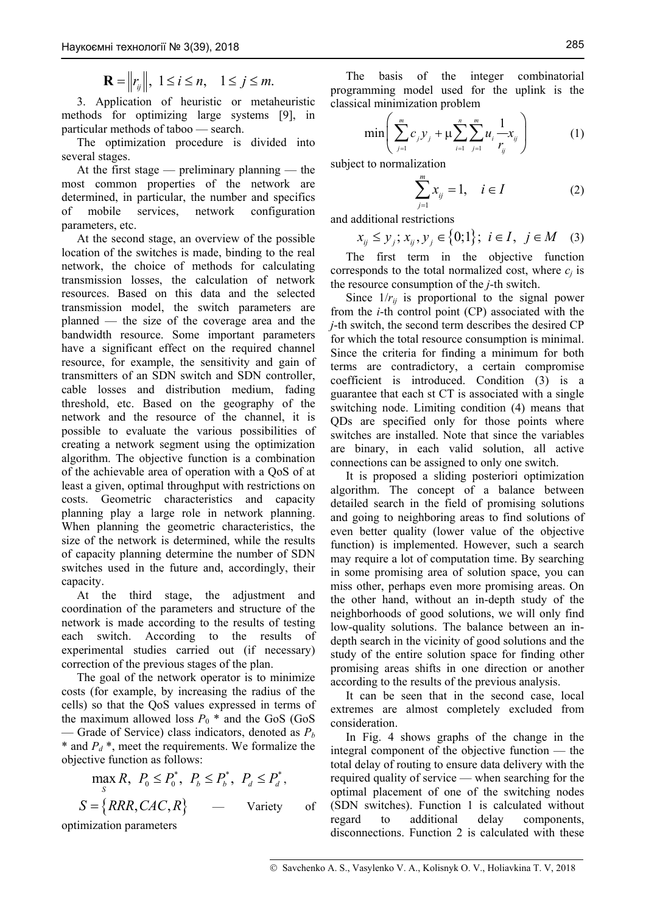$$
\mathbf{R} = \left\| r_{ij} \right\|, \ 1 \le i \le n, \quad 1 \le j \le m.
$$

3. Application of heuristic or metaheuristic methods for optimizing large systems [9], in particular methods of taboo — search.

The optimization procedure is divided into several stages.

At the first stage — preliminary planning — the most common properties of the network are determined, in particular, the number and specifics of mobile services, network configuration parameters, etc.

At the second stage, an overview of the possible location of the switches is made, binding to the real network, the choice of methods for calculating transmission losses, the calculation of network resources. Based on this data and the selected transmission model, the switch parameters are planned — the size of the coverage area and the bandwidth resource. Some important parameters have a significant effect on the required channel resource, for example, the sensitivity and gain of transmitters of an SDN switch and SDN controller, cable losses and distribution medium, fading threshold, etc. Based on the geography of the network and the resource of the channel, it is possible to evaluate the various possibilities of creating a network segment using the optimization algorithm. The objective function is a combination of the achievable area of operation with a QoS of at least a given, optimal throughput with restrictions on costs. Geometric characteristics and capacity planning play a large role in network planning. When planning the geometric characteristics, the size of the network is determined, while the results of capacity planning determine the number of SDN switches used in the future and, accordingly, their capacity.

At the third stage, the adjustment and coordination of the parameters and structure of the network is made according to the results of testing each switch. According to the results of experimental studies carried out (if necessary) correction of the previous stages of the plan.

The goal of the network operator is to minimize costs (for example, by increasing the radius of the cells) so that the QoS values expressed in terms of the maximum allowed loss  $P_0$  \* and the GoS (GoS) — Grade of Service) class indicators, denoted as *Pb*  $*$  and  $P_d *$ , meet the requirements. We formalize the objective function as follows:

$$
\max_{S} R, P_0 \le P_0^*, P_b \le P_b^*, P_d \le P_d^*,
$$
  

$$
S = \{RRR, CAC, R\} \longrightarrow \text{Variety} \text{ of}
$$

optimization parameters

The basis of the integer combinatorial programming model used for the uplink is the classical minimization problem

$$
\min\left(\sum_{j=1}^{m}c_{j}y_{j} + \mu \sum_{i=1}^{n} \sum_{j=1}^{m} u_{i} \frac{1}{r_{ij}^{2}}x_{ij}\right) (1)
$$

subject to normalization

$$
\sum_{j=1}^{m} x_{ij} = 1, \quad i \in I
$$
 (2)

and additional restrictions

$$
x_{ij} \le y_j; x_{ij}, y_j \in \{0; 1\}; i \in I, j \in M \quad (3)
$$

The first term in the objective function corresponds to the total normalized cost, where  $c_i$  is the resource consumption of the *j*-th switch.

Since  $1/r_{ii}$  is proportional to the signal power from the *i*-th control point (CP) associated with the *j*-th switch, the second term describes the desired CP for which the total resource consumption is minimal. Since the criteria for finding a minimum for both terms are contradictory, a certain compromise coefficient is introduced. Condition (3) is a guarantee that each st CT is associated with a single switching node. Limiting condition (4) means that QDs are specified only for those points where switches are installed. Note that since the variables are binary, in each valid solution, all active connections can be assigned to only one switch.

It is proposed a sliding posteriori optimization algorithm. The concept of a balance between detailed search in the field of promising solutions and going to neighboring areas to find solutions of even better quality (lower value of the objective function) is implemented. However, such a search may require a lot of computation time. By searching in some promising area of solution space, you can miss other, perhaps even more promising areas. On the other hand, without an in-depth study of the neighborhoods of good solutions, we will only find low-quality solutions. The balance between an indepth search in the vicinity of good solutions and the study of the entire solution space for finding other promising areas shifts in one direction or another according to the results of the previous analysis.

It can be seen that in the second case, local extremes are almost completely excluded from consideration.

In Fig. 4 shows graphs of the change in the integral component of the objective function — the total delay of routing to ensure data delivery with the required quality of service — when searching for the optimal placement of one of the switching nodes (SDN switches). Function 1 is calculated without regard to additional delay components, disconnections. Function 2 is calculated with these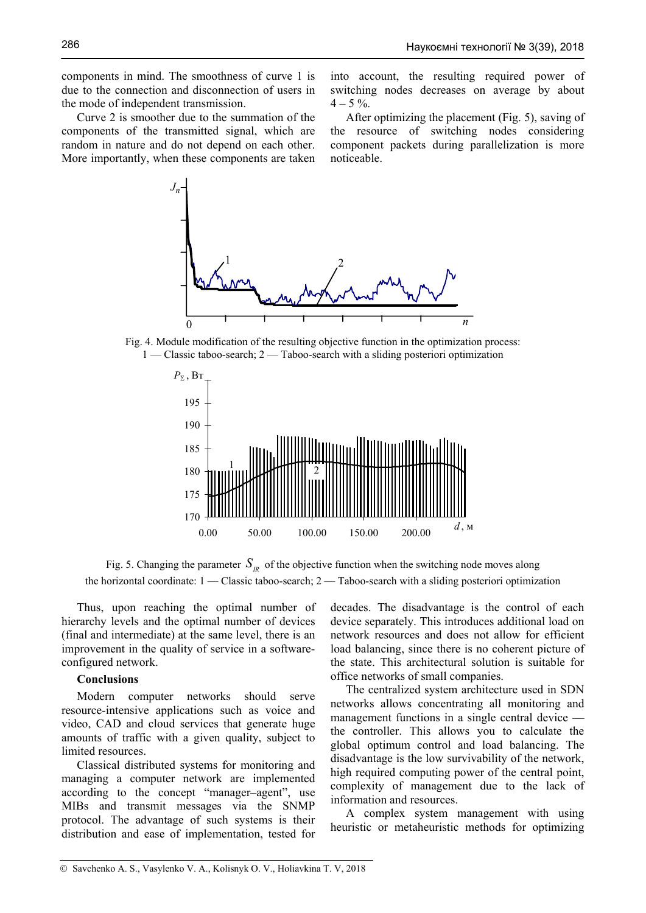components in mind. The smoothness of curve 1 is due to the connection and disconnection of users in the mode of independent transmission.

Curve 2 is smoother due to the summation of the components of the transmitted signal, which are random in nature and do not depend on each other. More importantly, when these components are taken

into account, the resulting required power of switching nodes decreases on average by about  $4 - 5\%$ .

After optimizing the placement (Fig. 5), saving of the resource of switching nodes considering component packets during parallelization is more noticeable.



Fig. 4. Module modification of the resulting objective function in the optimization process: 1 — Classic taboo-search; 2 — Taboo-search with a sliding posteriori optimization



Fig. 5. Changing the parameter  $S<sub>n</sub>$  of the objective function when the switching node moves along the horizontal coordinate: 1 — Classic taboo-search; 2 — Taboo-search with a sliding posteriori optimization

Thus, upon reaching the optimal number of hierarchy levels and the optimal number of devices (final and intermediate) at the same level, there is an improvement in the quality of service in a softwareconfigured network.

#### **Conclusions**

Modern computer networks should serve resource-intensive applications such as voice and video, CAD and cloud services that generate huge amounts of traffic with a given quality, subject to limited resources.

Classical distributed systems for monitoring and managing a computer network are implemented according to the concept "manager–agent", use MIBs and transmit messages via the SNMP protocol. The advantage of such systems is their distribution and ease of implementation, tested for decades. The disadvantage is the control of each device separately. This introduces additional load on network resources and does not allow for efficient load balancing, since there is no coherent picture of the state. This architectural solution is suitable for office networks of small companies.

The centralized system architecture used in SDN networks allows concentrating all monitoring and management functions in a single central device the controller. This allows you to calculate the global optimum control and load balancing. The disadvantage is the low survivability of the network, high required computing power of the central point, complexity of management due to the lack of information and resources.

A complex system management with using heuristic or metaheuristic methods for optimizing

<sup>©</sup> Savchenko A. S., Vasylenko V. A., Kolisnyk O. V., Holiavkina T. V, 2018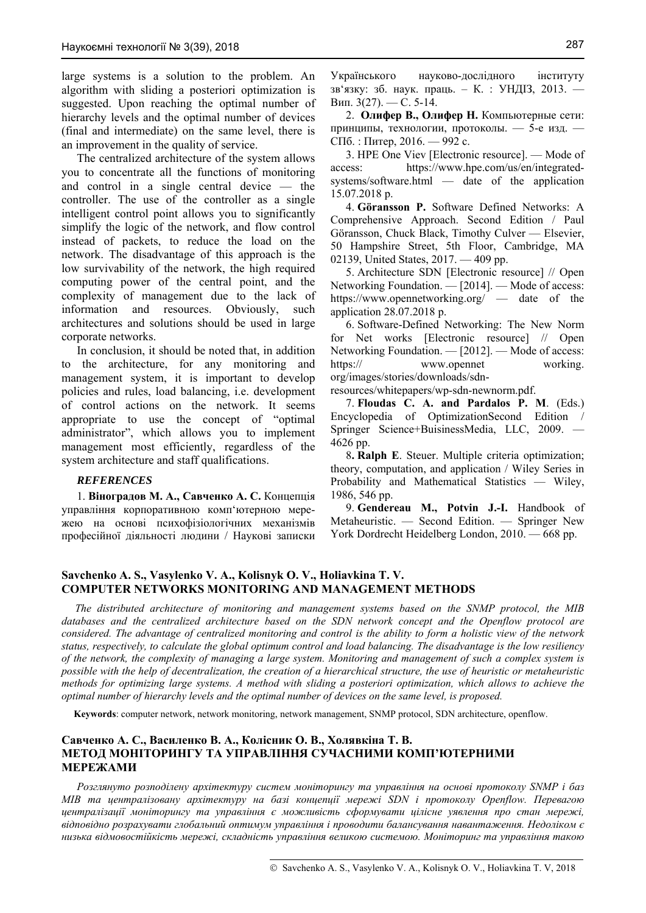large systems is a solution to the problem. An algorithm with sliding a posteriori optimization is suggested. Upon reaching the optimal number of hierarchy levels and the optimal number of devices (final and intermediate) on the same level, there is an improvement in the quality of service.

The centralized architecture of the system allows you to concentrate all the functions of monitoring and control in a single central device — the controller. The use of the controller as a single intelligent control point allows you to significantly simplify the logic of the network, and flow control instead of packets, to reduce the load on the network. The disadvantage of this approach is the low survivability of the network, the high required computing power of the central point, and the complexity of management due to the lack of information and resources. Obviously, such architectures and solutions should be used in large corporate networks.

In conclusion, it should be noted that, in addition to the architecture, for any monitoring and management system, it is important to develop policies and rules, load balancing, i.e. development of control actions on the network. It seems appropriate to use the concept of "optimal administrator", which allows you to implement management most efficiently, regardless of the system architecture and staff qualifications.

#### *REFERENCES*

1. **Віноградов М. А., Савченко А. С.** Концепція управління корпоративною комп'ютерною мережею на основі психофізіологічних механізмів професійної діяльності людини / Наукові записки Українського науково-дослідного інституту зв'язку: зб. наук. праць. – К. : УНДІЗ, 2013. — Вип. 3(27). — С. 5-14.

2. **Олифер В., Олифер Н.** Компьютерные сети: принципы, технологии, протоколы. — 5-е изд. — СПб. : Питер, 2016. — 992 с.

3. HPE One Viev [Electronic resource]. — Mode of access: https://www.hpe.com/us/en/integratedsystems/software.html — date of the application 15.07.2018 р.

4. **Göransson P.** Software Defined Networks: A Comprehensive Approach. Second Edition / Paul Göransson, Chuck Black, Timothy Culver — Elsevier, 50 Hampshire Street, 5th Floor, Cambridge, MA 02139, United States, 2017. — 409 pp.

5. Architecture SDN [Electronic resource] // Open Networking Foundation. — [2014]. — Mode of access: https://www.opennetworking.org/ — date of the application 28.07.2018 р.

6. Software-Defined Networking: The New Norm for Net works [Electronic resource] // Open Networking Foundation. — [2012]. — Mode of access: https:// www.opennet working. org/images/stories/downloads/sdn-

resources/whitepapers/wp-sdn-newnorm.pdf.

7. **Floudas C. A. and Pardalos P. M**. (Eds.) Encyclopedia of OptimizationSecond Edition / Springer Science+BuisinessMedia, LLC, 2009. — 4626 pp.

8**. Ralph E**. Steuer. Multiple criteria optimization; theory, computation, and application / Wiley Series in Probability and Mathematical Statistics — Wiley, 1986, 546 pp.

9. **Gendereau M., Potvin J.-I.** Handbook of Metaheuristic. — Second Edition. — Springer New York Dordrecht Heidelberg London, 2010. — 668 pp.

#### **Savchenko A. S., Vasylenko V. A., Kolisnyk O. V., Holiavkina T. V. COMPUTER NETWORKS MONITORING AND MANAGEMENT METHODS**

 *The distributed architecture of monitoring and management systems based on the SNMP protocol, the MIB databases and the centralized architecture based on the SDN network concept and the Openflow protocol are considered. The advantage of centralized monitoring and control is the ability to form a holistic view of the network status, respectively, to calculate the global optimum control and load balancing. The disadvantage is the low resiliency of the network, the complexity of managing a large system. Monitoring and management of such a complex system is possible with the help of decentralization, the creation of a hierarchical structure, the use of heuristic or metaheuristic methods for optimizing large systems. A method with sliding a posteriori optimization, which allows to achieve the optimal number of hierarchy levels and the optimal number of devices on the same level, is proposed.* 

 **Keywords**: computer network, network monitoring, network management, SNMP protocol, SDN architecture, openflow.

### **Савченко А. С., Василенко В. А., Колісник О. В., Холявкіна Т. В. МЕТОД МОНІТОРИНГУ ТА УПРАВЛІННЯ СУЧАСНИМИ КОМП'ЮТЕРНИМИ МЕРЕЖАМИ**

*Розглянуто розподілену архітектуру систем моніторингу та управління на основі протоколу SNMP і баз MIB та централізовану архітектуру на базі концепції мережі SDN і протоколу Openflow. Перевагою централізації моніторингу та управління є можливість сформувати цілісне уявлення про стан мережі, відповідно розрахувати глобальний оптимум управління і проводити балансування навантаження. Недоліком є низька відмовостійкість мережі, складність управління великою системою. Моніторинг та управління такою*